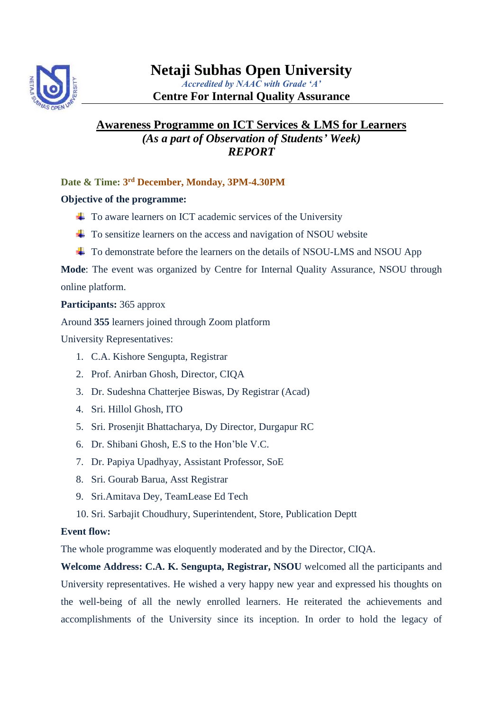

## **Centre For Internal Quality Assurance**

# **Awareness Programme on ICT Services & LMS for Learners** *(As a part of Observation of Students' Week) REPORT*

**Date & Time: 3 rd December, Monday, 3PM-4.30PM**

## **Objective of the programme:**

- $\overline{\text{+}}$  To aware learners on ICT academic services of the University
- $\overline{\phantom{a}}$  To sensitize learners on the access and navigation of NSOU website
- ↓ To demonstrate before the learners on the details of NSOU-LMS and NSOU App

**Mode**: The event was organized by Centre for Internal Quality Assurance, NSOU through online platform.

### **Participants:** 365 approx

Around **355** learners joined through Zoom platform

University Representatives:

- 1. C.A. Kishore Sengupta, Registrar
- 2. Prof. Anirban Ghosh, Director, CIQA
- 3. Dr. Sudeshna Chatterjee Biswas, Dy Registrar (Acad)
- 4. Sri. Hillol Ghosh, ITO
- 5. Sri. Prosenjit Bhattacharya, Dy Director, Durgapur RC
- 6. Dr. Shibani Ghosh, E.S to the Hon'ble V.C.
- 7. Dr. Papiya Upadhyay, Assistant Professor, SoE
- 8. Sri. Gourab Barua, Asst Registrar
- 9. Sri.Amitava Dey, TeamLease Ed Tech
- 10. Sri. Sarbajit Choudhury, Superintendent, Store, Publication Deptt

### **Event flow:**

The whole programme was eloquently moderated and by the Director, CIQA.

**Welcome Address: C.A. K. Sengupta, Registrar, NSOU** welcomed all the participants and University representatives. He wished a very happy new year and expressed his thoughts on the well-being of all the newly enrolled learners. He reiterated the achievements and accomplishments of the University since its inception. In order to hold the legacy of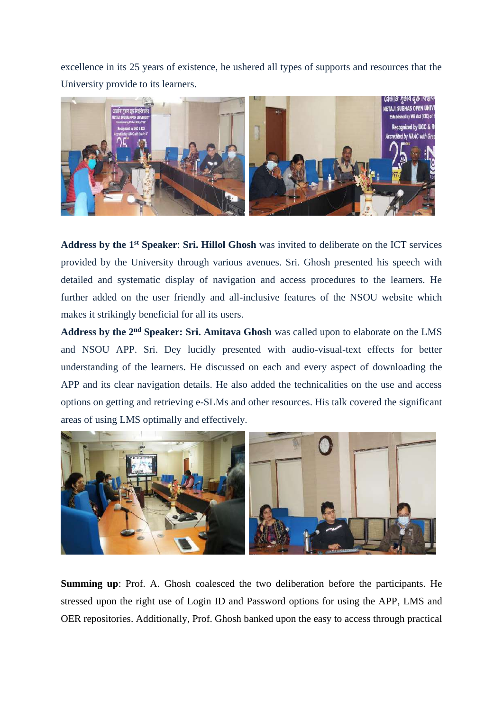excellence in its 25 years of existence, he ushered all types of supports and resources that the University provide to its learners.



Address by the 1<sup>st</sup> Speaker: Sri. Hillol Ghosh was invited to deliberate on the ICT services provided by the University through various avenues. Sri. Ghosh presented his speech with detailed and systematic display of navigation and access procedures to the learners. He further added on the user friendly and all-inclusive features of the NSOU website which makes it strikingly beneficial for all its users.

**Address by the 2nd Speaker: Sri. Amitava Ghosh** was called upon to elaborate on the LMS and NSOU APP. Sri. Dey lucidly presented with audio-visual-text effects for better understanding of the learners. He discussed on each and every aspect of downloading the APP and its clear navigation details. He also added the technicalities on the use and access options on getting and retrieving e-SLMs and other resources. His talk covered the significant areas of using LMS optimally and effectively.



**Summing up**: Prof. A. Ghosh coalesced the two deliberation before the participants. He stressed upon the right use of Login ID and Password options for using the APP, LMS and OER repositories. Additionally, Prof. Ghosh banked upon the easy to access through practical